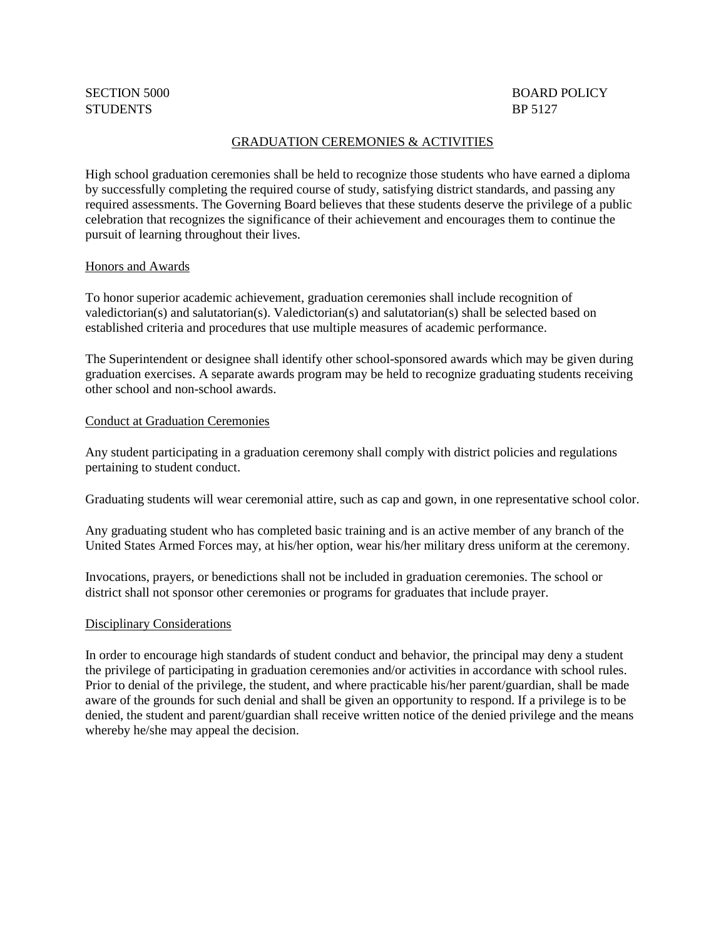# STUDENTS BP 5127

# SECTION 5000 BOARD POLICY

## GRADUATION CEREMONIES & ACTIVITIES

High school graduation ceremonies shall be held to recognize those students who have earned a diploma by successfully completing the required course of study, satisfying district standards, and passing any required assessments. The Governing Board believes that these students deserve the privilege of a public celebration that recognizes the significance of their achievement and encourages them to continue the pursuit of learning throughout their lives.

### Honors and Awards

To honor superior academic achievement, graduation ceremonies shall include recognition of valedictorian(s) and salutatorian(s). Valedictorian(s) and salutatorian(s) shall be selected based on established criteria and procedures that use multiple measures of academic performance.

The Superintendent or designee shall identify other school-sponsored awards which may be given during graduation exercises. A separate awards program may be held to recognize graduating students receiving other school and non-school awards.

### Conduct at Graduation Ceremonies

Any student participating in a graduation ceremony shall comply with district policies and regulations pertaining to student conduct.

Graduating students will wear ceremonial attire, such as cap and gown, in one representative school color.

Any graduating student who has completed basic training and is an active member of any branch of the United States Armed Forces may, at his/her option, wear his/her military dress uniform at the ceremony.

Invocations, prayers, or benedictions shall not be included in graduation ceremonies. The school or district shall not sponsor other ceremonies or programs for graduates that include prayer.

### Disciplinary Considerations

In order to encourage high standards of student conduct and behavior, the principal may deny a student the privilege of participating in graduation ceremonies and/or activities in accordance with school rules. Prior to denial of the privilege, the student, and where practicable his/her parent/guardian, shall be made aware of the grounds for such denial and shall be given an opportunity to respond. If a privilege is to be denied, the student and parent/guardian shall receive written notice of the denied privilege and the means whereby he/she may appeal the decision.